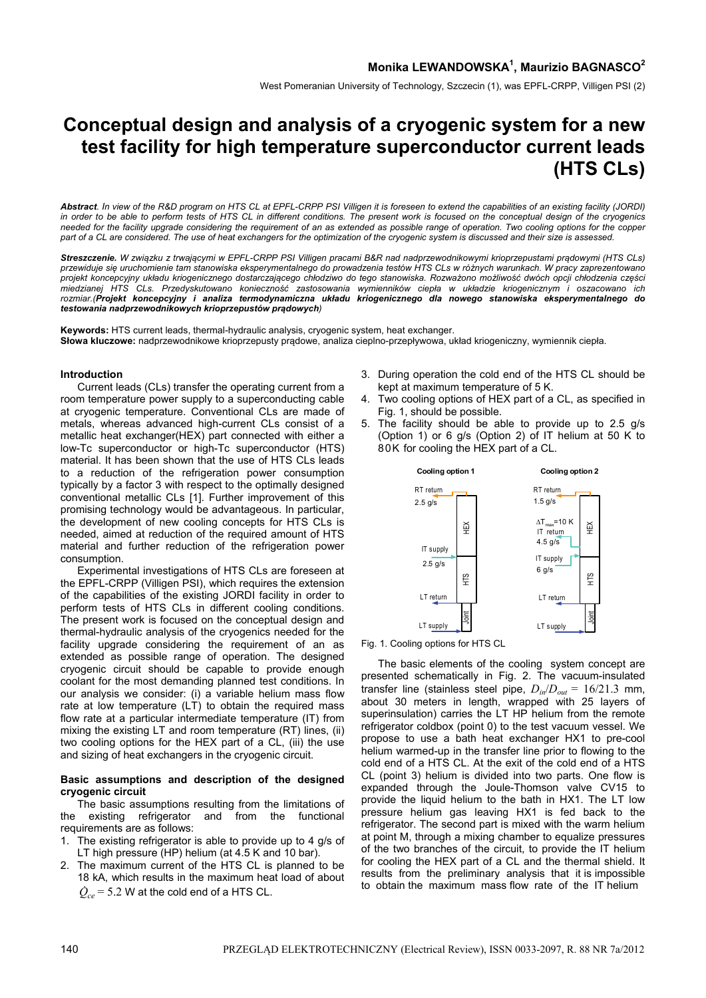West Pomeranian University of Technology, Szczecin (1), was EPFL-CRPP, Villigen PSI (2)

# **Conceptual design and analysis of a cryogenic system for a new test facility for high temperature superconductor current leads (HTS CLs)**

*Abstract. In view of the R&D program on HTS CL at EPFL-CRPP PSI Villigen it is foreseen to extend the capabilities of an existing facility (JORDI) in order to be able to perform tests of HTS CL in different conditions. The present work is focused on the conceptual design of the cryogenics needed for the facility upgrade considering the requirement of an as extended as possible range of operation. Two cooling options for the copper part of a CL are considered. The use of heat exchangers for the optimization of the cryogenic system is discussed and their size is assessed.*

*Streszczenie. W związku z trwającymi w EPFL-CRPP PSI Villigen pracami B&R nad nadprzewodnikowymi krioprzepustami prądowymi (HTS CLs) przewiduje się uruchomienie tam stanowiska eksperymentalnego do prowadzenia testów HTS CLs w różnych warunkach. W pracy zaprezentowano*  projekt koncepcyjny układu kriogenicznego dostarczającego chłodziwo do tego stanowiska. Rozważono możliwość dwóch opcji chłodzenia części *miedzianej HTS CLs. Przedyskutowano konieczność zastosowania wymienników ciepła w układzie kriogenicznym i oszacowano ich rozmiar.(Projekt koncepcyjny i analiza termodynamiczna układu kriogenicznego dla nowego stanowiska eksperymentalnego do testowania nadprzewodnikowych krioprzepustów prądowych)* 

**Keywords:** HTS current leads, thermal-hydraulic analysis, cryogenic system, heat exchanger. **Słowa kluczowe:** nadprzewodnikowe krioprzepusty prądowe, analiza cieplno-przepływowa, układ kriogeniczny, wymiennik ciepła.

## **Introduction**

 Current leads (CLs) transfer the operating current from a room temperature power supply to a superconducting cable at cryogenic temperature. Conventional CLs are made of metals, whereas advanced high-current CLs consist of a metallic heat exchanger(HEX) part connected with either a low-Tc superconductor or high-Tc superconductor (HTS) material. It has been shown that the use of HTS CLs leads to a reduction of the refrigeration power consumption typically by a factor 3 with respect to the optimally designed conventional metallic CLs [1]. Further improvement of this promising technology would be advantageous. In particular, the development of new cooling concepts for HTS CLs is needed, aimed at reduction of the required amount of HTS material and further reduction of the refrigeration power consumption.

 Experimental investigations of HTS CLs are foreseen at the EPFL-CRPP (Villigen PSI), which requires the extension of the capabilities of the existing JORDI facility in order to perform tests of HTS CLs in different cooling conditions. The present work is focused on the conceptual design and thermal-hydraulic analysis of the cryogenics needed for the facility upgrade considering the requirement of an as extended as possible range of operation. The designed cryogenic circuit should be capable to provide enough coolant for the most demanding planned test conditions. In our analysis we consider: (i) a variable helium mass flow rate at low temperature (LT) to obtain the required mass flow rate at a particular intermediate temperature (IT) from mixing the existing LT and room temperature (RT) lines, (ii) two cooling options for the HEX part of a CL, (iii) the use and sizing of heat exchangers in the cryogenic circuit.

# **Basic assumptions and description of the designed cryogenic circuit**

 The basic assumptions resulting from the limitations of the existing refrigerator and from the functional requirements are as follows:

- 1. The existing refrigerator is able to provide up to 4 g/s of LT high pressure (HP) helium (at 4.5 K and 10 bar).
- 2. The maximum current of the HTS CL is planned to be 18 kA, which results in the maximum heat load of about  $\dot{Q}_{ce}$  = 5.2 W at the cold end of a HTS CL.
- 3. During operation the cold end of the HTS CL should be kept at maximum temperature of 5 K.
- Two cooling options of HEX part of a CL, as specified in Fig. 1, should be possible.
- 5. The facility should be able to provide up to 2.5 g/s (Option 1) or 6 g/s (Option 2) of IT helium at 50 K to 80K for cooling the HEX part of a CL.



Fig. 1. Cooling options for HTS CL

 The basic elements of the cooling system concept are presented schematically in Fig. 2. The vacuum-insulated transfer line (stainless steel pipe,  $D_{in}/D_{out} = 16/21.3$  mm, about 30 meters in length, wrapped with 25 layers of superinsulation) carries the LT HP helium from the remote refrigerator coldbox (point 0) to the test vacuum vessel. We propose to use a bath heat exchanger HX1 to pre-cool helium warmed-up in the transfer line prior to flowing to the cold end of a HTS CL. At the exit of the cold end of a HTS CL (point 3) helium is divided into two parts. One flow is expanded through the Joule-Thomson valve CV15 to provide the liquid helium to the bath in HX1. The LT low pressure helium gas leaving HX1 is fed back to the refrigerator. The second part is mixed with the warm helium at point M, through a mixing chamber to equalize pressures of the two branches of the circuit, to provide the IT helium for cooling the HEX part of a CL and the thermal shield. It results from the preliminary analysis that it is impossible To the maximum mass flow rate of the two branches of the MC the maximum mass flow rate of the maximum mass flow rate of the maximum mass flow rate of the maximum mass flow rate of the maximum mass flow rate of the maximum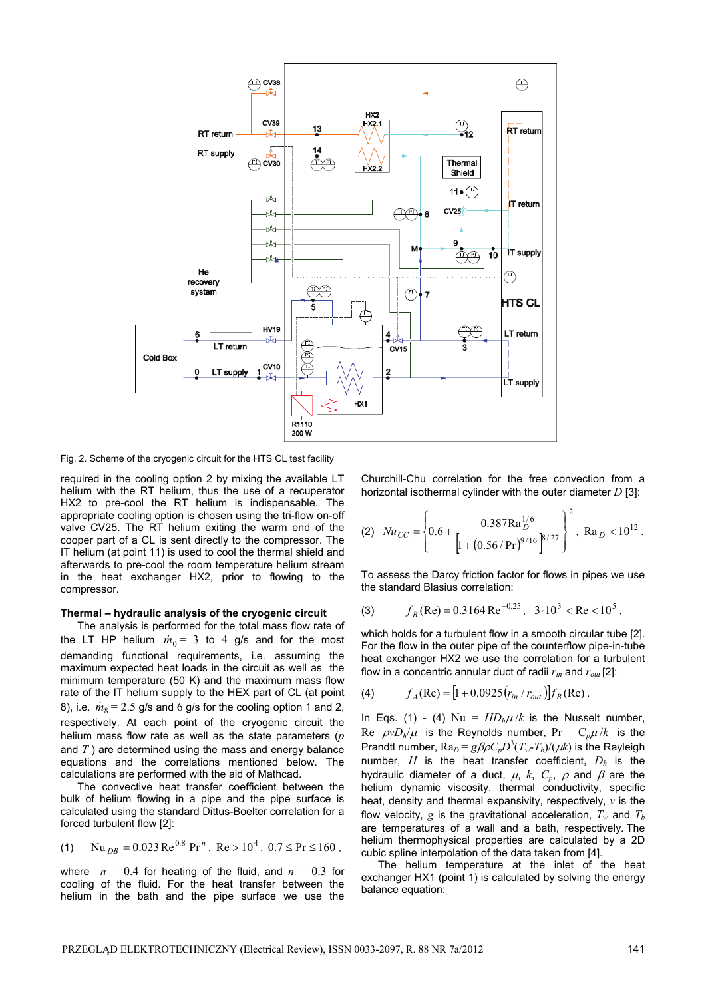

Fig. 2. Scheme of the cryogenic circuit for the HTS CL test facility

required in the cooling option 2 by mixing the available LT helium with the RT helium, thus the use of a recuperator HX2 to pre-cool the RT helium is indispensable. The appropriate cooling option is chosen using the tri-flow on-off valve CV25. The RT helium exiting the warm end of the cooper part of a CL is sent directly to the compressor. The IT helium (at point 11) is used to cool the thermal shield and afterwards to pre-cool the room temperature helium stream in the heat exchanger HX2, prior to flowing to the compressor.

## **Thermal – hydraulic analysis of the cryogenic circuit**

 The analysis is performed for the total mass flow rate of the LT HP helium  $\dot{m}_0 = 3$  to 4 g/s and for the most demanding functional requirements, i.e. assuming the maximum expected heat loads in the circuit as well as the minimum temperature (50 K) and the maximum mass flow rate of the IT helium supply to the HEX part of CL (at point 8), i.e.  $\dot{m}_8 = 2.5$  g/s and 6 g/s for the cooling option 1 and 2, respectively. At each point of the cryogenic circuit the helium mass flow rate as well as the state parameters (*p* and *T* ) are determined using the mass and energy balance equations and the correlations mentioned below. The calculations are performed with the aid of Mathcad.

 The convective heat transfer coefficient between the bulk of helium flowing in a pipe and the pipe surface is calculated using the standard Dittus-Boelter correlation for a forced turbulent flow [2]:

(1) Nu<sub>DB</sub> = 0.023 Re<sup>0.8</sup> Pr<sup>n</sup>, Re > 10<sup>4</sup>, 0.7 
$$
\leq
$$
 Pr  $\leq$  160,

where  $n = 0.4$  for heating of the fluid, and  $n = 0.3$  for cooling of the fluid. For the heat transfer between the helium in the bath and the pipe surface we use the

Churchill-Chu correlation for the free convection from a horizontal isothermal cylinder with the outer diameter *D* [3]:

(2) 
$$
Nu_{CC} = \left\{ 0.6 + \frac{0.387 \text{Ra}_D^{1/6}}{\left[ 1 + \left( 0.56 / \text{Pr} \right)^{9/16} \right]^{8/27}} \right\}^2
$$
, Ra<sub>D</sub> < 10<sup>12</sup>.

To assess the Darcy friction factor for flows in pipes we use the standard Blasius correlation:

(3) 
$$
f_B(\text{Re}) = 0.3164 \text{ Re}^{-0.25}
$$
,  $3 \cdot 10^3 < \text{Re} < 10^5$ ,

which holds for a turbulent flow in a smooth circular tube [2]. For the flow in the outer pipe of the counterflow pipe-in-tube heat exchanger HX2 we use the correlation for a turbulent flow in a concentric annular duct of radii *rin* and *rout* [2]:

(4) 
$$
f_A(\text{Re}) = [1 + 0.0925 (r_{in} / r_{out})] f_B(\text{Re}).
$$

In Eqs. (1) - (4)  $Nu = HD_h\mu/k$  is the Nusselt number,  $Re = \rho v D_h / \mu$  is the Reynolds number,  $Pr = C_p \mu / k$  is the Prandtl number,  $Ra_D = g\beta \rho C_p D^3 (T_w - T_b) / (\mu k)$  is the Rayleigh number, *H* is the heat transfer coefficient, *Dh* is the hydraulic diameter of a duct,  $\mu$ ,  $k$ ,  $C_p$ ,  $\rho$  and  $\beta$  are the helium dynamic viscosity, thermal conductivity, specific heat, density and thermal expansivity, respectively, *v* is the flow velocity, g is the gravitational acceleration,  $T_w$  and  $T_b$ are temperatures of a wall and a bath, respectively. The helium thermophysical properties are calculated by a 2D cubic spline interpolation of the data taken from [4].

 The helium temperature at the inlet of the heat exchanger HX1 (point 1) is calculated by solving the energy balance equation: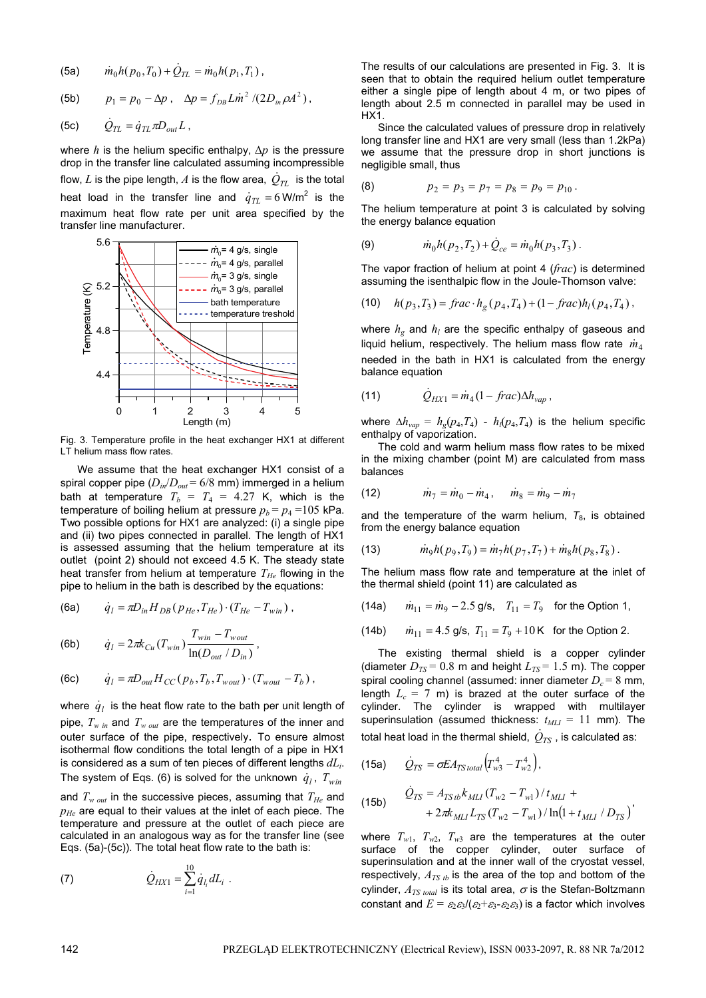(5a) 
$$
\dot{m}_0 h(p_0, T_0) + \dot{Q}_{TL} = \dot{m}_0 h(p_1, T_1),
$$

(5b) 
$$
p_1 = p_0 - \Delta p
$$
,  $\Delta p = f_{DB} L \dot{m}^2 / (2D_{in} \rho A^2)$ ,

$$
(5c) \qquad \dot{Q}_{TL} = \dot{q}_{TL} \pi D_{out} L \ ,
$$

where  $h$  is the helium specific enthalpy,  $\Delta p$  is the pressure drop in the transfer line calculated assuming incompressible flow,  $L$  is the pipe length,  $A$  is the flow area,  $\,\dot{Q}_{TL}\,$  is the total heat load in the transfer line and  $\dot{q}_{TL} = 6$  W/m<sup>2</sup> is the maximum heat flow rate per unit area specified by the transfer line manufacturer.



Fig. 3. Temperature profile in the heat exchanger HX1 at different LT helium mass flow rates.

We assume that the heat exchanger HX1 consist of a spiral copper pipe (*Din*/*Dout* = 6/8 mm) immerged in a helium bath at temperature  $T_b = T_4 = 4.27$  K, which is the temperature of boiling helium at pressure  $p_b = p_4 = 105$  kPa. Two possible options for HX1 are analyzed: (i) a single pipe and (ii) two pipes connected in parallel. The length of HX1 is assessed assuming that the helium temperature at its outlet (point 2) should not exceed 4.5 K. The steady state heat transfer from helium at temperature  $T_{He}$  flowing in the pipe to helium in the bath is described by the equations:

(6a) 
$$
\dot{q}_l = \pi D_{in} H_{DB} (p_{He}, T_{He}) \cdot (T_{He} - T_{win})
$$
,

(6b) 
$$
\dot{q}_l = 2\pi k_{Cu}(T_{win}) \frac{T_{win} - T_{wout}}{\ln(D_{out} / D_{in})}
$$
,

(6c) 
$$
\dot{q}_l = \pi D_{out} H_{CC}(p_b, T_b, T_{wout}) \cdot (T_{wout} - T_b),
$$

where  $\dot{q}_l$  is the heat flow rate to the bath per unit length of pipe, *Tw in* and *Tw out* are the temperatures of the inner and outer surface of the pipe, respectively. To ensure almost isothermal flow conditions the total length of a pipe in HX1 is considered as a sum of ten pieces of different lengths *dLi*. The system of Eqs. (6) is solved for the unknown  $\dot{q}_l$ ,  $T_{win}$ and  $T_{w \text{ out}}$  in the successive pieces, assuming that  $T_{He}$  and  $p_{He}$  are equal to their values at the inlet of each piece. The temperature and pressure at the outlet of each piece are calculated in an analogous way as for the transfer line (see Eqs. (5a)-(5c)). The total heat flow rate to the bath is:

(7) 
$$
\dot{Q}_{H X 1} = \sum_{i=1}^{10} \dot{q}_{l_i} dL_i \ .
$$

The results of our calculations are presented in Fig. 3. It is seen that to obtain the required helium outlet temperature either a single pipe of length about 4 m, or two pipes of length about 2.5 m connected in parallel may be used in HX1.

Since the calculated values of pressure drop in relatively long transfer line and HX1 are very small (less than 1.2kPa) we assume that the pressure drop in short junctions is negligible small, thus

(8) 
$$
p_2 = p_3 = p_7 = p_8 = p_9 = p_{10}.
$$

The helium temperature at point 3 is calculated by solving the energy balance equation

(9) 
$$
\dot{m}_0 h(p_2, T_2) + \dot{Q}_{ce} = \dot{m}_0 h(p_3, T_3).
$$

The vapor fraction of helium at point 4 (*frac*) is determined assuming the isenthalpic flow in the Joule-Thomson valve:

(10) 
$$
h(p_3, T_3) = \text{frac} \cdot h_g(p_4, T_4) + (1 - \text{frac}) h_l(p_4, T_4),
$$

where  $h_g$  and  $h_l$  are the specific enthalpy of gaseous and liquid helium, respectively. The helium mass flow rate  $\dot{m}_4$ needed in the bath in HX1 is calculated from the energy balance equation

(11) 
$$
\dot{Q}_{HX1} = \dot{m}_4 (1 - \text{frac}) \Delta h_{vap} ,
$$

where  $\Delta h_{vap} = h_g(p_4, T_4) - h_i(p_4, T_4)$  is the helium specific enthalpy of vaporization.

 The cold and warm helium mass flow rates to be mixed in the mixing chamber (point M) are calculated from mass balances

(12) 
$$
\dot{m}_7 = \dot{m}_0 - \dot{m}_4, \quad \dot{m}_8 = \dot{m}_9 - \dot{m}_7
$$

and the temperature of the warm helium,  $T_8$ , is obtained from the energy balance equation

(13) 
$$
\dot{m}_9 h(p_9, T_9) = \dot{m}_7 h(p_7, T_7) + \dot{m}_8 h(p_8, T_8).
$$

The helium mass flow rate and temperature at the inlet of the thermal shield (point 11) are calculated as

(14a) 
$$
\dot{m}_{11} = \dot{m}_9 - 2.5
$$
 g/s,  $T_{11} = T_9$  for the Option 1,

(14b)  $\dot{m}_{11} = 4.5$  g/s,  $T_{11} = T_9 + 10$  K for the Option 2.

 The existing thermal shield is a copper cylinder (diameter  $D_{TS}$  = 0.8 m and height  $L_{TS}$  = 1.5 m). The copper spiral cooling channel (assumed: inner diameter  $D_c = 8$  mm, length  $L_c = 7$  m) is brazed at the outer surface of the cylinder. The cylinder is wrapped with multilayer superinsulation (assumed thickness:  $t_{MLI} = 11$  mm). The total heat load in the thermal shield,  $\dot Q_{TS}$  , is calculated as:

$$
(15a) \qquad \dot{Q}_{TS} = \sigma EA_{TS\,total} \left( T_{w3}^4 - T_{w2}^4 \right),
$$

(15b) 
$$
\dot{Q}_{TS} = A_{TStb} k_{MLI} (T_{w2} - T_{w1}) / t_{MLI} ++ 2\pi k_{MLI} L_{TS} (T_{w2} - T_{w1}) / \ln(1 + t_{MLI} / D_{TS})
$$

where  $T_{w1}$ ,  $T_{w2}$ ,  $T_{w3}$  are the temperatures at the outer surface of the copper cylinder, outer surface of superinsulation and at the inner wall of the cryostat vessel, respectively,  $A_{TS}$  *t*<sub>b</sub> is the area of the top and bottom of the cylinder,  $A_{TS total}$  is its total area,  $\sigma$  is the Stefan-Boltzmann constant and  $E = \varepsilon_2 \varepsilon_3/(\varepsilon_2 + \varepsilon_3 - \varepsilon_2 \varepsilon_3)$  is a factor which involves